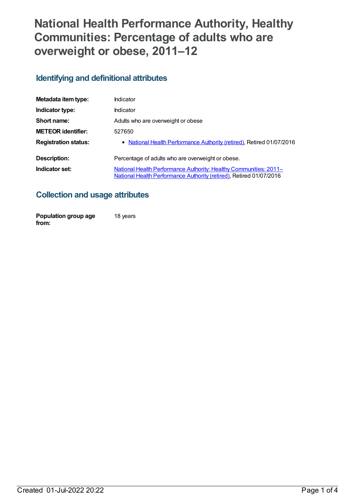# **National Health Performance Authority, Healthy Communities: Percentage of adults who are overweight or obese, 2011–12**

# **Identifying and definitional attributes**

| Metadata item type:         | Indicator                                                                                                                                |
|-----------------------------|------------------------------------------------------------------------------------------------------------------------------------------|
| Indicator type:             | Indicator                                                                                                                                |
| Short name:                 | Adults who are overweight or obese                                                                                                       |
| <b>METEOR identifier:</b>   | 527650                                                                                                                                   |
| <b>Registration status:</b> | • National Health Performance Authority (retired), Retired 01/07/2016                                                                    |
| Description:                | Percentage of adults who are overweight or obese.                                                                                        |
| Indicator set:              | National Health Performance Authority: Healthy Communities: 2011-<br>National Health Performance Authority (retired), Retired 01/07/2016 |

## **Collection and usage attributes**

| Population group age | 18 years |
|----------------------|----------|
| from:                |          |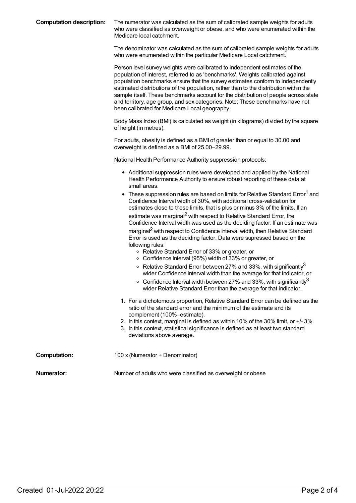The numerator was calculated as the sum of calibrated sample weights for adults who were classified as overweight or obese, and who were enumerated within the Medicare local catchment.

The denominator was calculated as the sum of calibrated sample weights for adults who were enumerated within the particular Medicare Local catchment.

Person level survey weights were calibrated to independent estimates of the population of interest, referred to as 'benchmarks'. Weights calibrated against population benchmarks ensure that the survey estimates conform to independently estimated distributions of the population, rather than to the distribution within the sample itself. These benchmarks account for the distribution of people across state and territory, age group, and sex categories. Note: These benchmarks have not been calibrated for Medicare Local geography.

Body Mass Index (BMI) is calculated as weight (in kilograms) divided by the square of height (in metres).

For adults, obesity is defined as a BMI of greater than or equal to 30.00 and overweight is defined as a BMI of 25.00–29.99.

National Health Performance Authority suppression protocols:

- Additional suppression rules were developed and applied by the National Health Performance Authority to ensure robust reporting of these data at small areas.
- $\bullet$  These suppression rules are based on limits for Relative Standard Error<sup>1</sup> and Confidence Interval width of 30%, with additional cross-validation for estimates close to these limits, that is plus or minus 3% of the limits. If an estimate was marginal<sup>2</sup> with respect to Relative Standard Error, the Confidence Interval width was used as the deciding factor. If an estimate was marginal<sup>2</sup> with respect to Confidence Interval width, then Relative Standard Error is used as the deciding factor. Data were supressed based on the following rules:
	- Relative Standard Error of 33% or greater, or
	- Confidence Interval (95%) width of 33% or greater, or
	- Relative Standard Error between 27% and 33%, with significantly $^3$ wider Confidence Interval width than the average for that indicator, or
	- Confidence Interval width between 27% and 33%, with significantly $^3$ wider Relative Standard Error than the average for that indicator.
- 1. For a dichotomous proportion, Relative Standard Error can be defined as the ratio of the standard error and the minimum of the estimate and its complement (100%–estimate).
- 2. In this context, marginal is defined as within 10% of the 30% limit, or +/- 3%.
- 3. In this context, statistical significance is defined as at least two standard deviations above average.
- **Computation:** 100 x (Numerator ÷ Denominator)

**Numerator:** Number of adults who were classified as overweight or obese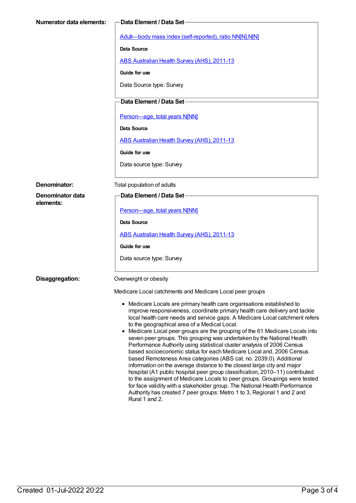| <b>Numerator data elements:</b> | Data Element / Data Set-                                                                                                                                                                                                                                                                                                                                                                                                                                                                                                                                                                                                                                                                                                                                                                                                                                                                                                                                                                                                                                                                 |  |
|---------------------------------|------------------------------------------------------------------------------------------------------------------------------------------------------------------------------------------------------------------------------------------------------------------------------------------------------------------------------------------------------------------------------------------------------------------------------------------------------------------------------------------------------------------------------------------------------------------------------------------------------------------------------------------------------------------------------------------------------------------------------------------------------------------------------------------------------------------------------------------------------------------------------------------------------------------------------------------------------------------------------------------------------------------------------------------------------------------------------------------|--|
|                                 | Adult-body mass index (self-reported), ratio NN[N].N[N]                                                                                                                                                                                                                                                                                                                                                                                                                                                                                                                                                                                                                                                                                                                                                                                                                                                                                                                                                                                                                                  |  |
|                                 | <b>Data Source</b>                                                                                                                                                                                                                                                                                                                                                                                                                                                                                                                                                                                                                                                                                                                                                                                                                                                                                                                                                                                                                                                                       |  |
|                                 | ABS Australian Health Survey (AHS), 2011-13                                                                                                                                                                                                                                                                                                                                                                                                                                                                                                                                                                                                                                                                                                                                                                                                                                                                                                                                                                                                                                              |  |
|                                 | Guide for use                                                                                                                                                                                                                                                                                                                                                                                                                                                                                                                                                                                                                                                                                                                                                                                                                                                                                                                                                                                                                                                                            |  |
|                                 | Data Source type: Survey                                                                                                                                                                                                                                                                                                                                                                                                                                                                                                                                                                                                                                                                                                                                                                                                                                                                                                                                                                                                                                                                 |  |
|                                 | Data Element / Data Set-                                                                                                                                                                                                                                                                                                                                                                                                                                                                                                                                                                                                                                                                                                                                                                                                                                                                                                                                                                                                                                                                 |  |
|                                 | Person-age, total years N[NN]                                                                                                                                                                                                                                                                                                                                                                                                                                                                                                                                                                                                                                                                                                                                                                                                                                                                                                                                                                                                                                                            |  |
|                                 | Data Source                                                                                                                                                                                                                                                                                                                                                                                                                                                                                                                                                                                                                                                                                                                                                                                                                                                                                                                                                                                                                                                                              |  |
|                                 | ABS Australian Health Survey (AHS), 2011-13                                                                                                                                                                                                                                                                                                                                                                                                                                                                                                                                                                                                                                                                                                                                                                                                                                                                                                                                                                                                                                              |  |
|                                 | Guide for use                                                                                                                                                                                                                                                                                                                                                                                                                                                                                                                                                                                                                                                                                                                                                                                                                                                                                                                                                                                                                                                                            |  |
|                                 | Data source type: Survey                                                                                                                                                                                                                                                                                                                                                                                                                                                                                                                                                                                                                                                                                                                                                                                                                                                                                                                                                                                                                                                                 |  |
| Denominator:                    | Total population of adults                                                                                                                                                                                                                                                                                                                                                                                                                                                                                                                                                                                                                                                                                                                                                                                                                                                                                                                                                                                                                                                               |  |
| Denominator data<br>elements:   | Data Element / Data Set-                                                                                                                                                                                                                                                                                                                                                                                                                                                                                                                                                                                                                                                                                                                                                                                                                                                                                                                                                                                                                                                                 |  |
|                                 | Person-age, total years N[NN]                                                                                                                                                                                                                                                                                                                                                                                                                                                                                                                                                                                                                                                                                                                                                                                                                                                                                                                                                                                                                                                            |  |
|                                 | Data Source                                                                                                                                                                                                                                                                                                                                                                                                                                                                                                                                                                                                                                                                                                                                                                                                                                                                                                                                                                                                                                                                              |  |
|                                 | ABS Australian Health Survey (AHS), 2011-13                                                                                                                                                                                                                                                                                                                                                                                                                                                                                                                                                                                                                                                                                                                                                                                                                                                                                                                                                                                                                                              |  |
|                                 | Guide for use                                                                                                                                                                                                                                                                                                                                                                                                                                                                                                                                                                                                                                                                                                                                                                                                                                                                                                                                                                                                                                                                            |  |
|                                 | Data source type: Survey                                                                                                                                                                                                                                                                                                                                                                                                                                                                                                                                                                                                                                                                                                                                                                                                                                                                                                                                                                                                                                                                 |  |
| Disaggregation:                 | Overweight or obesity                                                                                                                                                                                                                                                                                                                                                                                                                                                                                                                                                                                                                                                                                                                                                                                                                                                                                                                                                                                                                                                                    |  |
|                                 | Medicare Local catchments and Medicare Local peer groups                                                                                                                                                                                                                                                                                                                                                                                                                                                                                                                                                                                                                                                                                                                                                                                                                                                                                                                                                                                                                                 |  |
|                                 | • Medicare Locals are primary health care organisations established to<br>improve responsiveness, coordinate primary health care delivery and tackle<br>local health care needs and service gaps. A Medicare Local catchment refers<br>to the geographical area of a Medical Local.<br>Medicare Local peer groups are the grouping of the 61 Medicare Locals into<br>seven peer groups. This grouping was undertaken by the National Health<br>Performance Authority using statistical cluster analysis of 2006 Census<br>based socioeconomic status for each Medicare Local and, 2006 Census<br>based Remoteness Area categories (ABS cat. no. 2039.0). Additional<br>information on the average distance to the closest large city and major<br>hospital (A1 public hospital peer group classification, 2010-11) contributed<br>to the assignment of Medicare Locals to peer groups. Groupings were tested<br>for face validity with a stakeholder group. The National Health Performance<br>Authority has created 7 peer groups: Metro 1 to 3, Regional 1 and 2 and<br>Rural 1 and 2. |  |